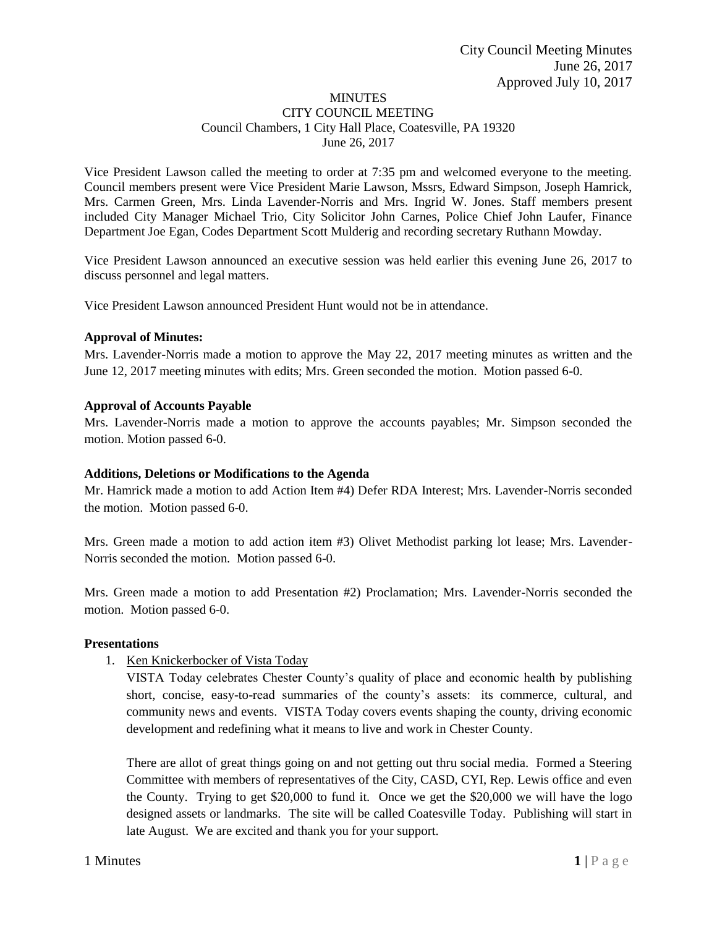#### MINUTES CITY COUNCIL MEETING Council Chambers, 1 City Hall Place, Coatesville, PA 19320 June 26, 2017

Vice President Lawson called the meeting to order at 7:35 pm and welcomed everyone to the meeting. Council members present were Vice President Marie Lawson, Mssrs, Edward Simpson, Joseph Hamrick, Mrs. Carmen Green, Mrs. Linda Lavender-Norris and Mrs. Ingrid W. Jones. Staff members present included City Manager Michael Trio, City Solicitor John Carnes, Police Chief John Laufer, Finance Department Joe Egan, Codes Department Scott Mulderig and recording secretary Ruthann Mowday.

Vice President Lawson announced an executive session was held earlier this evening June 26, 2017 to discuss personnel and legal matters.

Vice President Lawson announced President Hunt would not be in attendance.

### **Approval of Minutes:**

Mrs. Lavender-Norris made a motion to approve the May 22, 2017 meeting minutes as written and the June 12, 2017 meeting minutes with edits; Mrs. Green seconded the motion. Motion passed 6-0.

### **Approval of Accounts Payable**

Mrs. Lavender-Norris made a motion to approve the accounts payables; Mr. Simpson seconded the motion. Motion passed 6-0.

## **Additions, Deletions or Modifications to the Agenda**

Mr. Hamrick made a motion to add Action Item #4) Defer RDA Interest; Mrs. Lavender-Norris seconded the motion. Motion passed 6-0.

Mrs. Green made a motion to add action item #3) Olivet Methodist parking lot lease; Mrs. Lavender-Norris seconded the motion. Motion passed 6-0.

Mrs. Green made a motion to add Presentation #2) Proclamation; Mrs. Lavender-Norris seconded the motion. Motion passed 6-0.

#### **Presentations**

1. Ken Knickerbocker of Vista Today

VISTA Today celebrates Chester County's quality of place and economic health by publishing short, concise, easy-to-read summaries of the county's assets: its commerce, cultural, and community news and events. VISTA Today covers events shaping the county, driving economic development and redefining what it means to live and work in Chester County.

There are allot of great things going on and not getting out thru social media. Formed a Steering Committee with members of representatives of the City, CASD, CYI, Rep. Lewis office and even the County. Trying to get \$20,000 to fund it. Once we get the \$20,000 we will have the logo designed assets or landmarks. The site will be called Coatesville Today. Publishing will start in late August. We are excited and thank you for your support.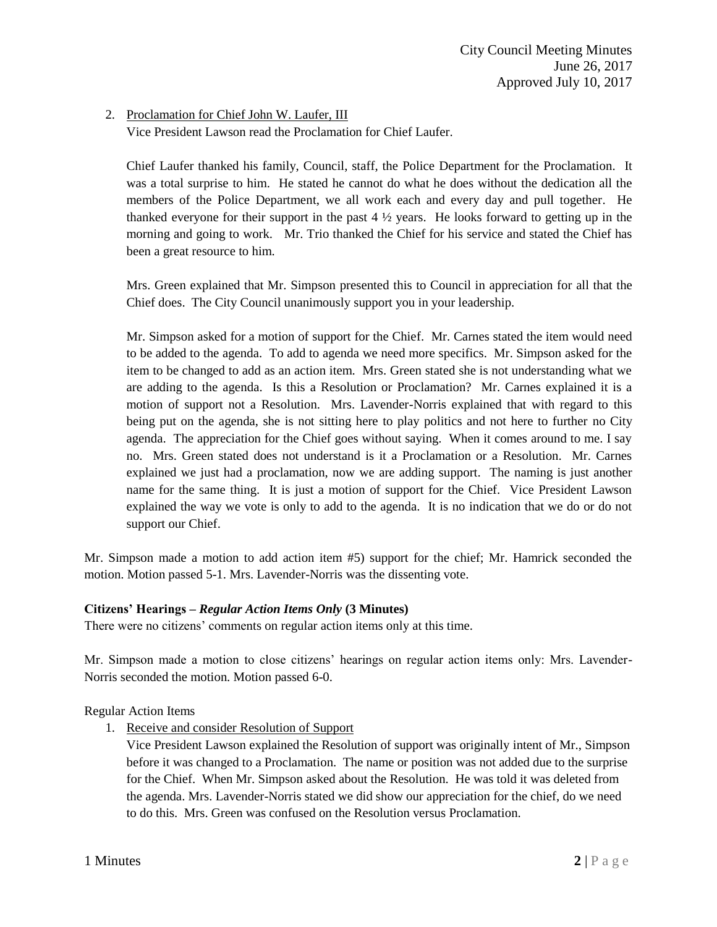### 2. Proclamation for Chief John W. Laufer, III

Vice President Lawson read the Proclamation for Chief Laufer.

Chief Laufer thanked his family, Council, staff, the Police Department for the Proclamation. It was a total surprise to him. He stated he cannot do what he does without the dedication all the members of the Police Department, we all work each and every day and pull together. He thanked everyone for their support in the past  $4\frac{1}{2}$  years. He looks forward to getting up in the morning and going to work. Mr. Trio thanked the Chief for his service and stated the Chief has been a great resource to him.

Mrs. Green explained that Mr. Simpson presented this to Council in appreciation for all that the Chief does. The City Council unanimously support you in your leadership.

Mr. Simpson asked for a motion of support for the Chief. Mr. Carnes stated the item would need to be added to the agenda. To add to agenda we need more specifics. Mr. Simpson asked for the item to be changed to add as an action item. Mrs. Green stated she is not understanding what we are adding to the agenda. Is this a Resolution or Proclamation? Mr. Carnes explained it is a motion of support not a Resolution. Mrs. Lavender-Norris explained that with regard to this being put on the agenda, she is not sitting here to play politics and not here to further no City agenda. The appreciation for the Chief goes without saying. When it comes around to me. I say no. Mrs. Green stated does not understand is it a Proclamation or a Resolution. Mr. Carnes explained we just had a proclamation, now we are adding support. The naming is just another name for the same thing. It is just a motion of support for the Chief. Vice President Lawson explained the way we vote is only to add to the agenda. It is no indication that we do or do not support our Chief.

Mr. Simpson made a motion to add action item #5) support for the chief; Mr. Hamrick seconded the motion. Motion passed 5-1. Mrs. Lavender-Norris was the dissenting vote.

#### **Citizens' Hearings –** *Regular Action Items Only* **(3 Minutes)**

There were no citizens' comments on regular action items only at this time.

Mr. Simpson made a motion to close citizens' hearings on regular action items only: Mrs. Lavender-Norris seconded the motion. Motion passed 6-0.

#### Regular Action Items

1. Receive and consider Resolution of Support

Vice President Lawson explained the Resolution of support was originally intent of Mr., Simpson before it was changed to a Proclamation. The name or position was not added due to the surprise for the Chief. When Mr. Simpson asked about the Resolution. He was told it was deleted from the agenda. Mrs. Lavender-Norris stated we did show our appreciation for the chief, do we need to do this. Mrs. Green was confused on the Resolution versus Proclamation.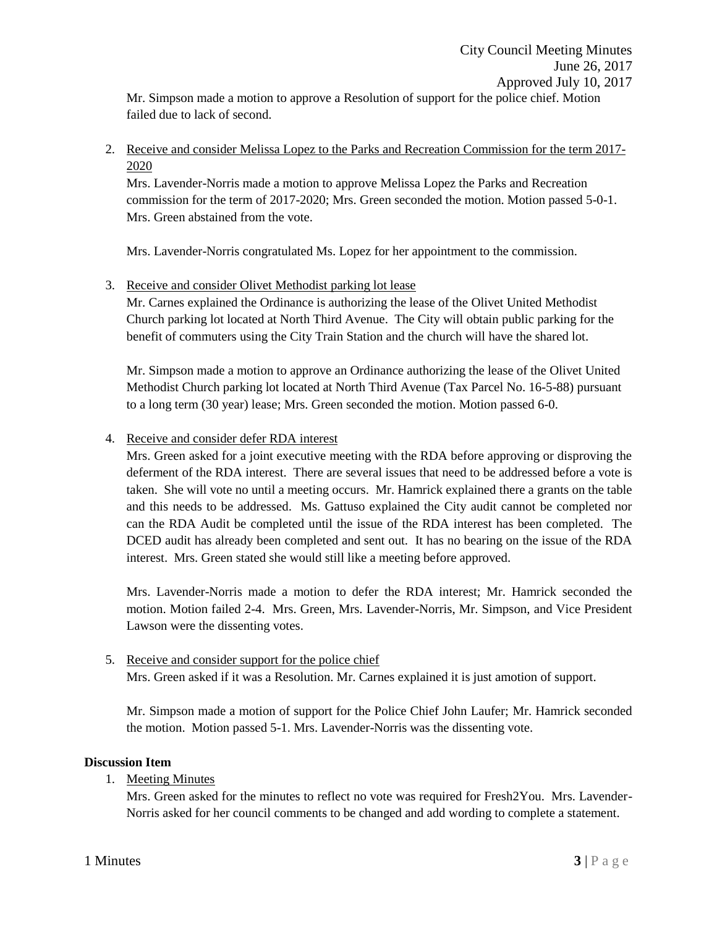Mr. Simpson made a motion to approve a Resolution of support for the police chief. Motion failed due to lack of second.

2. Receive and consider Melissa Lopez to the Parks and Recreation Commission for the term 2017- 2020

Mrs. Lavender-Norris made a motion to approve Melissa Lopez the Parks and Recreation commission for the term of 2017-2020; Mrs. Green seconded the motion. Motion passed 5-0-1. Mrs. Green abstained from the vote.

Mrs. Lavender-Norris congratulated Ms. Lopez for her appointment to the commission.

## 3. Receive and consider Olivet Methodist parking lot lease

Mr. Carnes explained the Ordinance is authorizing the lease of the Olivet United Methodist Church parking lot located at North Third Avenue. The City will obtain public parking for the benefit of commuters using the City Train Station and the church will have the shared lot.

Mr. Simpson made a motion to approve an Ordinance authorizing the lease of the Olivet United Methodist Church parking lot located at North Third Avenue (Tax Parcel No. 16-5-88) pursuant to a long term (30 year) lease; Mrs. Green seconded the motion. Motion passed 6-0.

# 4. Receive and consider defer RDA interest

Mrs. Green asked for a joint executive meeting with the RDA before approving or disproving the deferment of the RDA interest. There are several issues that need to be addressed before a vote is taken. She will vote no until a meeting occurs. Mr. Hamrick explained there a grants on the table and this needs to be addressed. Ms. Gattuso explained the City audit cannot be completed nor can the RDA Audit be completed until the issue of the RDA interest has been completed. The DCED audit has already been completed and sent out. It has no bearing on the issue of the RDA interest. Mrs. Green stated she would still like a meeting before approved.

Mrs. Lavender-Norris made a motion to defer the RDA interest; Mr. Hamrick seconded the motion. Motion failed 2-4. Mrs. Green, Mrs. Lavender-Norris, Mr. Simpson, and Vice President Lawson were the dissenting votes.

# 5. Receive and consider support for the police chief Mrs. Green asked if it was a Resolution. Mr. Carnes explained it is just amotion of support.

Mr. Simpson made a motion of support for the Police Chief John Laufer; Mr. Hamrick seconded the motion. Motion passed 5-1. Mrs. Lavender-Norris was the dissenting vote.

## **Discussion Item**

1. Meeting Minutes

Mrs. Green asked for the minutes to reflect no vote was required for Fresh 2You. Mrs. Lavender-Norris asked for her council comments to be changed and add wording to complete a statement.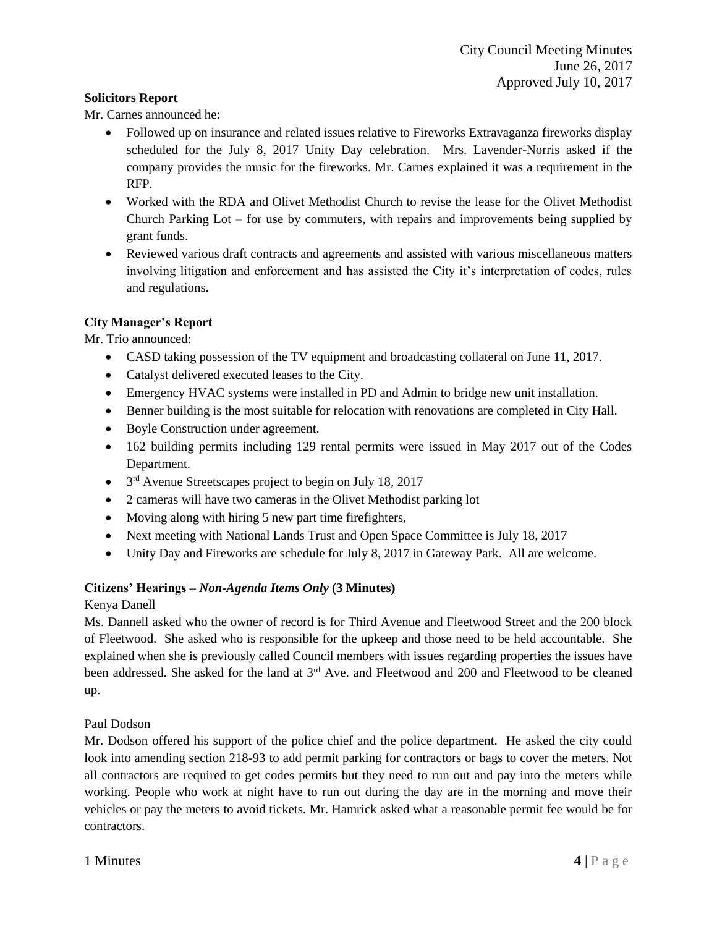### **Solicitors Report**

Mr. Carnes announced he:

- Followed up on insurance and related issues relative to Fireworks Extravaganza fireworks display scheduled for the July 8, 2017 Unity Day celebration. Mrs. Lavender-Norris asked if the company provides the music for the fireworks. Mr. Carnes explained it was a requirement in the RFP.
- Worked with the RDA and Olivet Methodist Church to revise the lease for the Olivet Methodist Church Parking Lot – for use by commuters, with repairs and improvements being supplied by grant funds.
- Reviewed various draft contracts and agreements and assisted with various miscellaneous matters involving litigation and enforcement and has assisted the City it's interpretation of codes, rules and regulations.

### **City Manager's Report**

Mr. Trio announced:

- CASD taking possession of the TV equipment and broadcasting collateral on June 11, 2017.
- Catalyst delivered executed leases to the City.
- Emergency HVAC systems were installed in PD and Admin to bridge new unit installation.
- Benner building is the most suitable for relocation with renovations are completed in City Hall.
- Boyle Construction under agreement.
- 162 building permits including 129 rental permits were issued in May 2017 out of the Codes Department.
- $\bullet$  3<sup>rd</sup> Avenue Streetscapes project to begin on July 18, 2017
- 2 cameras will have two cameras in the Olivet Methodist parking lot
- Moving along with hiring 5 new part time firefighters,
- Next meeting with National Lands Trust and Open Space Committee is July 18, 2017
- Unity Day and Fireworks are schedule for July 8, 2017 in Gateway Park. All are welcome.

#### **Citizens' Hearings –** *Non-Agenda Items Only* **(3 Minutes)**

#### Kenya Danell

Ms. Dannell asked who the owner of record is for Third Avenue and Fleetwood Street and the 200 block of Fleetwood. She asked who is responsible for the upkeep and those need to be held accountable. She explained when she is previously called Council members with issues regarding properties the issues have been addressed. She asked for the land at 3<sup>rd</sup> Ave. and Fleetwood and 200 and Fleetwood to be cleaned up.

#### Paul Dodson

Mr. Dodson offered his support of the police chief and the police department. He asked the city could look into amending section 218-93 to add permit parking for contractors or bags to cover the meters. Not all contractors are required to get codes permits but they need to run out and pay into the meters while working. People who work at night have to run out during the day are in the morning and move their vehicles or pay the meters to avoid tickets. Mr. Hamrick asked what a reasonable permit fee would be for contractors.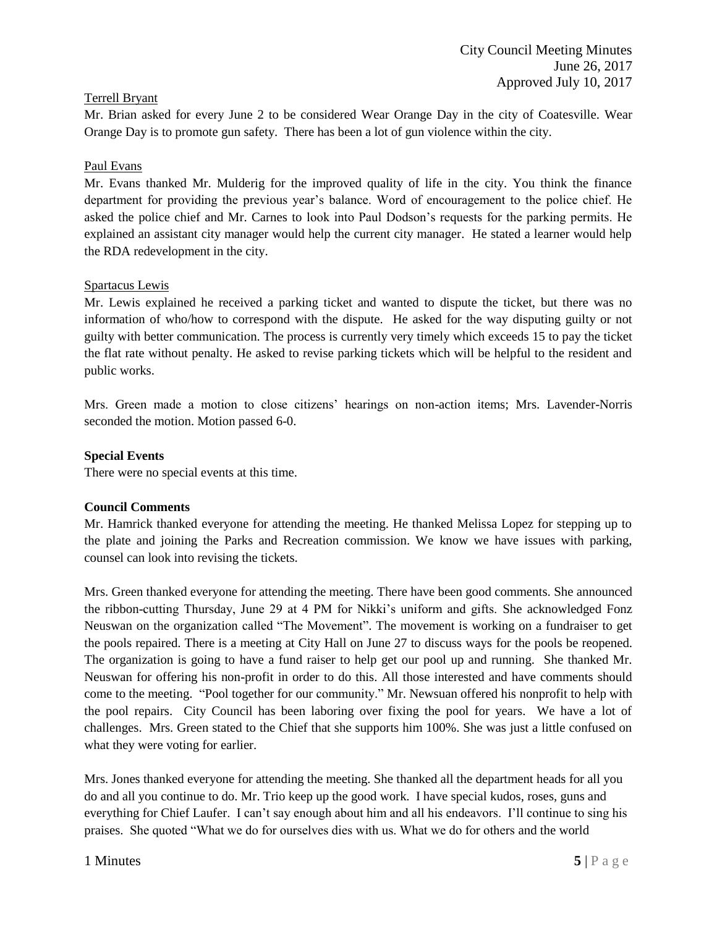### Terrell Bryant

Mr. Brian asked for every June 2 to be considered Wear Orange Day in the city of Coatesville. Wear Orange Day is to promote gun safety. There has been a lot of gun violence within the city.

#### Paul Evans

Mr. Evans thanked Mr. Mulderig for the improved quality of life in the city. You think the finance department for providing the previous year's balance. Word of encouragement to the police chief. He asked the police chief and Mr. Carnes to look into Paul Dodson's requests for the parking permits. He explained an assistant city manager would help the current city manager. He stated a learner would help the RDA redevelopment in the city.

### Spartacus Lewis

Mr. Lewis explained he received a parking ticket and wanted to dispute the ticket, but there was no information of who/how to correspond with the dispute. He asked for the way disputing guilty or not guilty with better communication. The process is currently very timely which exceeds 15 to pay the ticket the flat rate without penalty. He asked to revise parking tickets which will be helpful to the resident and public works.

Mrs. Green made a motion to close citizens' hearings on non-action items; Mrs. Lavender-Norris seconded the motion. Motion passed 6-0.

### **Special Events**

There were no special events at this time.

#### **Council Comments**

Mr. Hamrick thanked everyone for attending the meeting. He thanked Melissa Lopez for stepping up to the plate and joining the Parks and Recreation commission. We know we have issues with parking, counsel can look into revising the tickets.

Mrs. Green thanked everyone for attending the meeting. There have been good comments. She announced the ribbon-cutting Thursday, June 29 at 4 PM for Nikki's uniform and gifts. She acknowledged Fonz Neuswan on the organization called "The Movement". The movement is working on a fundraiser to get the pools repaired. There is a meeting at City Hall on June 27 to discuss ways for the pools be reopened. The organization is going to have a fund raiser to help get our pool up and running. She thanked Mr. Neuswan for offering his non-profit in order to do this. All those interested and have comments should come to the meeting. "Pool together for our community." Mr. Newsuan offered his nonprofit to help with the pool repairs. City Council has been laboring over fixing the pool for years. We have a lot of challenges. Mrs. Green stated to the Chief that she supports him 100%. She was just a little confused on what they were voting for earlier.

Mrs. Jones thanked everyone for attending the meeting. She thanked all the department heads for all you do and all you continue to do. Mr. Trio keep up the good work. I have special kudos, roses, guns and everything for Chief Laufer. I can't say enough about him and all his endeavors. I'll continue to sing his praises. She quoted "What we do for ourselves dies with us. What we do for others and the world